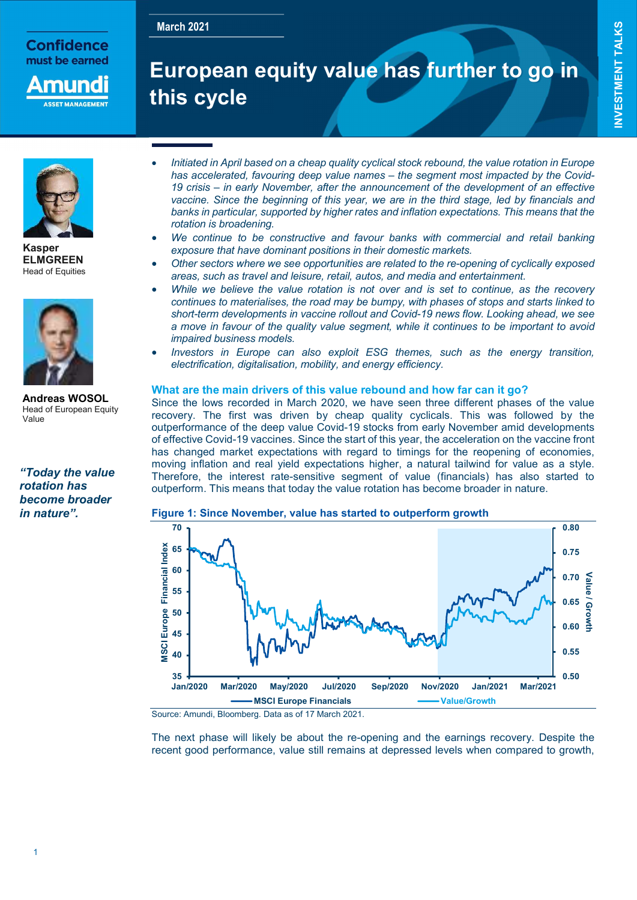# March 2021<br>European equity value has further to go in this cycle

Į.



Kasper ELMGREEN Head of Equities



Andreas WOSOL Head of European Equity Value

"Today the value rotation has become broader in nature".

- Initiated in April based on a cheap quality cyclical stock rebound, the value rotation in Europe has accelerated, favouring deep value names – the segment most impacted by the Covid-19 crisis – in early November, after the announcement of the development of an effective vaccine. Since the beginning of this year, we are in the third stage, led by financials and banks in particular, supported by higher rates and inflation expectations. This means that the rotation is broadening.
- We continue to be constructive and favour banks with commercial and retail banking exposure that have dominant positions in their domestic markets.
- Other sectors where we see opportunities are related to the re-opening of cyclically exposed areas, such as travel and leisure, retail, autos, and media and entertainment.
- While we believe the value rotation is not over and is set to continue, as the recovery continues to materialises, the road may be bumpy, with phases of stops and starts linked to short-term developments in vaccine rollout and Covid-19 news flow. Looking ahead, we see a move in favour of the quality value segment, while it continues to be important to avoid impaired business models.
- Investors in Europe can also exploit ESG themes, such as the energy transition, electrification, digitalisation, mobility, and energy efficiency.

### What are the main drivers of this value rebound and how far can it go?

Since the lows recorded in March 2020, we have seen three different phases of the value recovery. The first was driven by cheap quality cyclicals. This was followed by the outperformance of the deep value Covid-19 stocks from early November amid developments of effective Covid-19 vaccines. Since the start of this year, the acceleration on the vaccine front has changed market expectations with regard to timings for the reopening of economies, moving inflation and real yield expectations higher, a natural tailwind for value as a style. Therefore, the interest rate-sensitive segment of value (financials) has also started to outperform. This means that today the value rotation has become broader in nature.



#### Figure 1: Since November, value has started to outperform growth

Source: Amundi, Bloomberg. Data as of 17 March 2021.

The next phase will likely be about the re-opening and the earnings recovery. Despite the recent good performance, value still remains at depressed levels when compared to growth,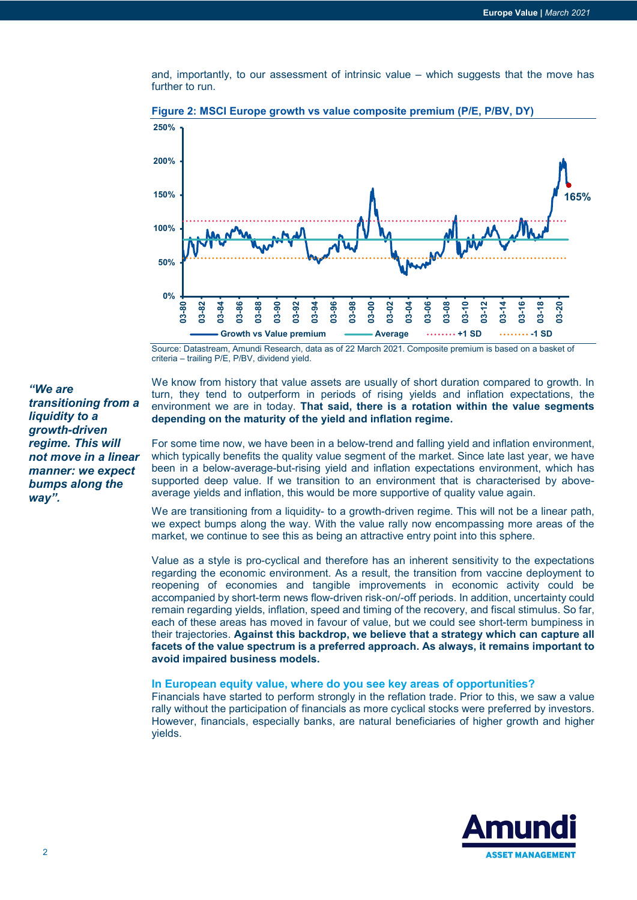and, importantly, to our assessment of intrinsic value – which suggests that the move has further to run.



Figure 2: MSCI Europe growth vs value composite premium (P/E, P/BV, DY)

Source: Datastream, Amundi Research, data as of 22 March 2021. Composite premium is based on a basket of criteria – trailing P/E, P/BV, dividend yield.

"We are transitioning from a liquidity to a growth-driven regime. This will not move in a linear manner: we expect bumps along the way".

We know from history that value assets are usually of short duration compared to growth. In turn, they tend to outperform in periods of rising yields and inflation expectations, the environment we are in today. That said, there is a rotation within the value segments depending on the maturity of the yield and inflation regime.

For some time now, we have been in a below-trend and falling yield and inflation environment, which typically benefits the quality value segment of the market. Since late last year, we have been in a below-average-but-rising yield and inflation expectations environment, which has supported deep value. If we transition to an environment that is characterised by aboveaverage yields and inflation, this would be more supportive of quality value again.

We are transitioning from a liquidity- to a growth-driven regime. This will not be a linear path, we expect bumps along the way. With the value rally now encompassing more areas of the market, we continue to see this as being an attractive entry point into this sphere.

Value as a style is pro-cyclical and therefore has an inherent sensitivity to the expectations regarding the economic environment. As a result, the transition from vaccine deployment to reopening of economies and tangible improvements in economic activity could be accompanied by short-term news flow-driven risk-on/-off periods. In addition, uncertainty could remain regarding yields, inflation, speed and timing of the recovery, and fiscal stimulus. So far, each of these areas has moved in favour of value, but we could see short-term bumpiness in their trajectories. Against this backdrop, we believe that a strategy which can capture all facets of the value spectrum is a preferred approach. As always, it remains important to avoid impaired business models.

#### In European equity value, where do you see key areas of opportunities?

Financials have started to perform strongly in the reflation trade. Prior to this, we saw a value rally without the participation of financials as more cyclical stocks were preferred by investors. However, financials, especially banks, are natural beneficiaries of higher growth and higher yields.

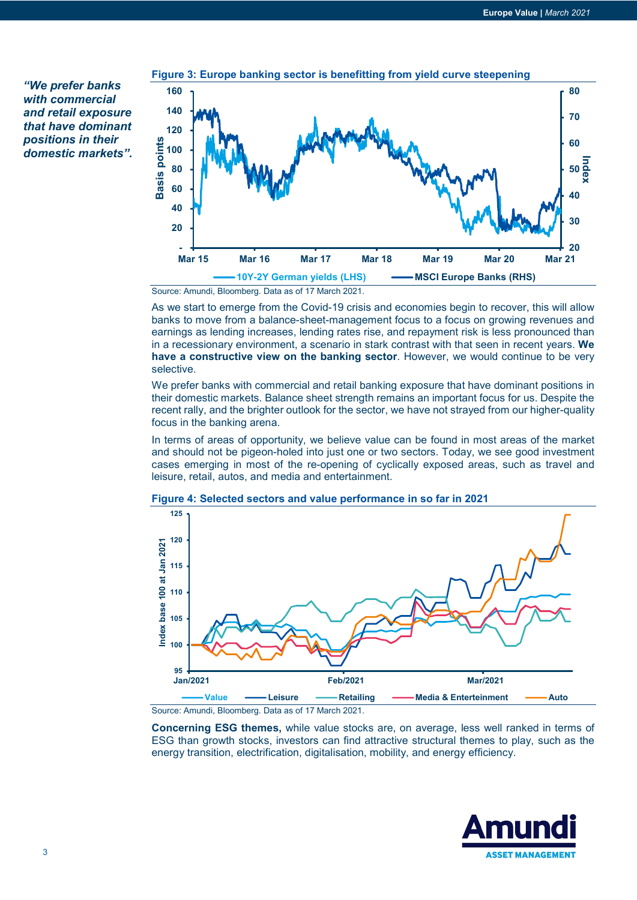"We prefer banks with commercial and retail exposure that have dominant positions in their domestic markets".



Source: Amundi, Bloomberg. Data as of 17 March 2021.

As we start to emerge from the Covid-19 crisis and economies begin to recover, this will allow banks to move from a balance-sheet-management focus to a focus on growing revenues and earnings as lending increases, lending rates rise, and repayment risk is less pronounced than in a recessionary environment, a scenario in stark contrast with that seen in recent years. We have a constructive view on the banking sector. However, we would continue to be very selective.

We prefer banks with commercial and retail banking exposure that have dominant positions in their domestic markets. Balance sheet strength remains an important focus for us. Despite the recent rally, and the brighter outlook for the sector, we have not strayed from our higher-quality focus in the banking arena.

In terms of areas of opportunity, we believe value can be found in most areas of the market and should not be pigeon-holed into just one or two sectors. Today, we see good investment cases emerging in most of the re-opening of cyclically exposed areas, such as travel and leisure, retail, autos, and media and entertainment.



Figure 4: Selected sectors and value performance in so far in 2021

Source: Amundi, Bloomberg. Data as of 17 March 2021.

Concerning ESG themes, while value stocks are, on average, less well ranked in terms of ESG than growth stocks, investors can find attractive structural themes to play, such as the energy transition, electrification, digitalisation, mobility, and energy efficiency.